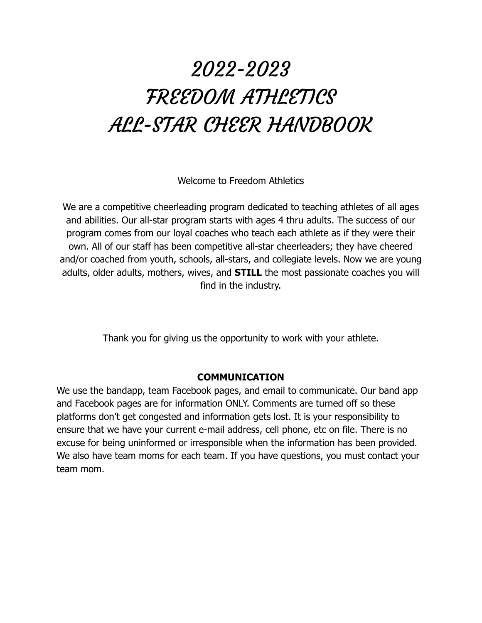# 2022-2023 FREEDOM ATHLETICS ALL-STAR CHEER HANDBOOK

Welcome to Freedom Athletics

We are a competitive cheerleading program dedicated to teaching athletes of all ages and abilities. Our all-star program starts with ages 4 thru adults. The success of our program comes from our loyal coaches who teach each athlete as if they were their own. All of our staff has been competitive all-star cheerleaders; they have cheered and/or coached from youth, schools, all-stars, and collegiate levels. Now we are young adults, older adults, mothers, wives, and **STILL** the most passionate coaches you will find in the industry.

Thank you for giving us the opportunity to work with your athlete.

#### **COMMUNICATION**

We use the bandapp, team Facebook pages, and email to communicate. Our band app and Facebook pages are for information ONLY. Comments are turned off so these platforms don't get congested and information gets lost. It is your responsibility to ensure that we have your current e-mail address, cell phone, etc on file. There is no excuse for being uninformed or irresponsible when the information has been provided. We also have team moms for each team. If you have questions, you must contact your team mom.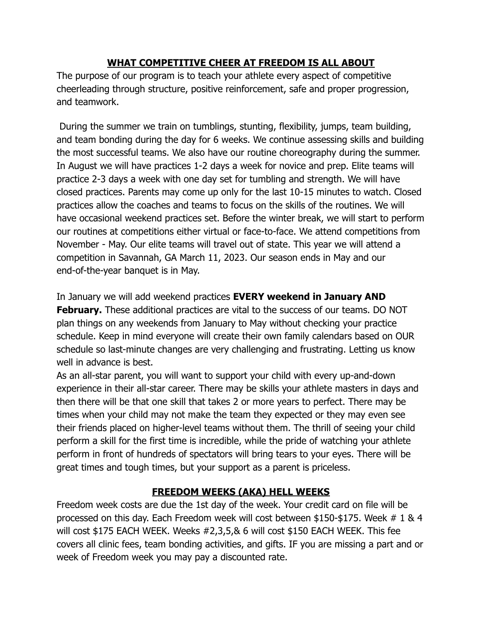#### **WHAT COMPETITIVE CHEER AT FREEDOM IS ALL ABOUT**

The purpose of our program is to teach your athlete every aspect of competitive cheerleading through structure, positive reinforcement, safe and proper progression, and teamwork.

During the summer we train on tumblings, stunting, flexibility, jumps, team building, and team bonding during the day for 6 weeks. We continue assessing skills and building the most successful teams. We also have our routine choreography during the summer. In August we will have practices 1-2 days a week for novice and prep. Elite teams will practice 2-3 days a week with one day set for tumbling and strength. We will have closed practices. Parents may come up only for the last 10-15 minutes to watch. Closed practices allow the coaches and teams to focus on the skills of the routines. We will have occasional weekend practices set. Before the winter break, we will start to perform our routines at competitions either virtual or face-to-face. We attend competitions from November - May. Our elite teams will travel out of state. This year we will attend a competition in Savannah, GA March 11, 2023. Our season ends in May and our end-of-the-year banquet is in May.

In January we will add weekend practices **EVERY weekend in January AND February.** These additional practices are vital to the success of our teams. DO NOT plan things on any weekends from January to May without checking your practice schedule. Keep in mind everyone will create their own family calendars based on OUR schedule so last-minute changes are very challenging and frustrating. Letting us know well in advance is best.

As an all-star parent, you will want to support your child with every up-and-down experience in their all-star career. There may be skills your athlete masters in days and then there will be that one skill that takes 2 or more years to perfect. There may be times when your child may not make the team they expected or they may even see their friends placed on higher-level teams without them. The thrill of seeing your child perform a skill for the first time is incredible, while the pride of watching your athlete perform in front of hundreds of spectators will bring tears to your eyes. There will be great times and tough times, but your support as a parent is priceless.

### **FREEDOM WEEKS (AKA) HELL WEEKS**

Freedom week costs are due the 1st day of the week. Your credit card on file will be processed on this day. Each Freedom week will cost between \$150-\$175. Week # 1 & 4 will cost \$175 EACH WEEK. Weeks #2,3,5,& 6 will cost \$150 EACH WEEK. This fee covers all clinic fees, team bonding activities, and gifts. IF you are missing a part and or week of Freedom week you may pay a discounted rate.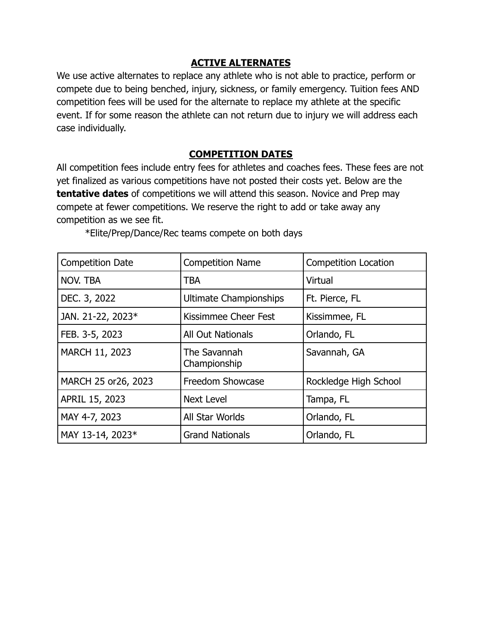#### **ACTIVE ALTERNATES**

We use active alternates to replace any athlete who is not able to practice, perform or compete due to being benched, injury, sickness, or family emergency. Tuition fees AND competition fees will be used for the alternate to replace my athlete at the specific event. If for some reason the athlete can not return due to injury we will address each case individually.

#### **COMPETITION DATES**

All competition fees include entry fees for athletes and coaches fees. These fees are not yet finalized as various competitions have not posted their costs yet. Below are the **tentative dates** of competitions we will attend this season. Novice and Prep may compete at fewer competitions. We reserve the right to add or take away any competition as we see fit.

| <b>Competition Date</b> | <b>Competition Name</b>       | <b>Competition Location</b> |
|-------------------------|-------------------------------|-----------------------------|
| NOV. TBA                | <b>TBA</b>                    | Virtual                     |
| DEC. 3, 2022            | <b>Ultimate Championships</b> | Ft. Pierce, FL              |
| JAN. 21-22, 2023*       | Kissimmee Cheer Fest          | Kissimmee, FL               |
| FEB. 3-5, 2023          | <b>All Out Nationals</b>      | Orlando, FL                 |
| MARCH 11, 2023          | The Savannah<br>Championship  | Savannah, GA                |
| MARCH 25 or 26, 2023    | Freedom Showcase              | Rockledge High School       |
| APRIL 15, 2023          | <b>Next Level</b>             | Tampa, FL                   |
| MAY 4-7, 2023           | All Star Worlds               | Orlando, FL                 |
| MAY 13-14, 2023*        | <b>Grand Nationals</b>        | Orlando, FL                 |

\*Elite/Prep/Dance/Rec teams compete on both days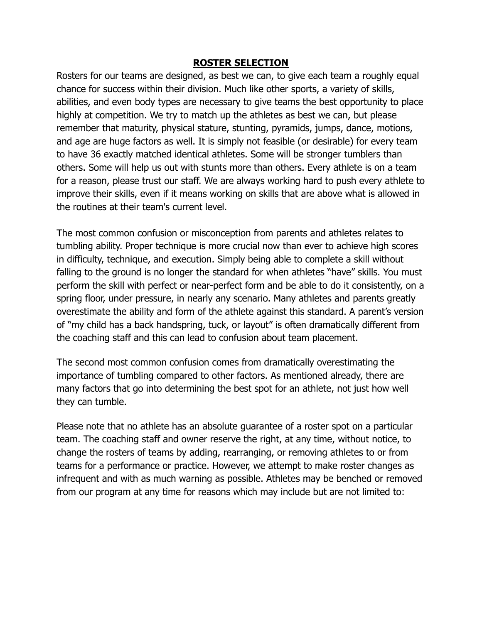#### **ROSTER SELECTION**

Rosters for our teams are designed, as best we can, to give each team a roughly equal chance for success within their division. Much like other sports, a variety of skills, abilities, and even body types are necessary to give teams the best opportunity to place highly at competition. We try to match up the athletes as best we can, but please remember that maturity, physical stature, stunting, pyramids, jumps, dance, motions, and age are huge factors as well. It is simply not feasible (or desirable) for every team to have 36 exactly matched identical athletes. Some will be stronger tumblers than others. Some will help us out with stunts more than others. Every athlete is on a team for a reason, please trust our staff. We are always working hard to push every athlete to improve their skills, even if it means working on skills that are above what is allowed in the routines at their team's current level.

The most common confusion or misconception from parents and athletes relates to tumbling ability. Proper technique is more crucial now than ever to achieve high scores in difficulty, technique, and execution. Simply being able to complete a skill without falling to the ground is no longer the standard for when athletes "have" skills. You must perform the skill with perfect or near-perfect form and be able to do it consistently, on a spring floor, under pressure, in nearly any scenario. Many athletes and parents greatly overestimate the ability and form of the athlete against this standard. A parent's version of "my child has a back handspring, tuck, or layout" is often dramatically different from the coaching staff and this can lead to confusion about team placement.

The second most common confusion comes from dramatically overestimating the importance of tumbling compared to other factors. As mentioned already, there are many factors that go into determining the best spot for an athlete, not just how well they can tumble.

Please note that no athlete has an absolute guarantee of a roster spot on a particular team. The coaching staff and owner reserve the right, at any time, without notice, to change the rosters of teams by adding, rearranging, or removing athletes to or from teams for a performance or practice. However, we attempt to make roster changes as infrequent and with as much warning as possible. Athletes may be benched or removed from our program at any time for reasons which may include but are not limited to: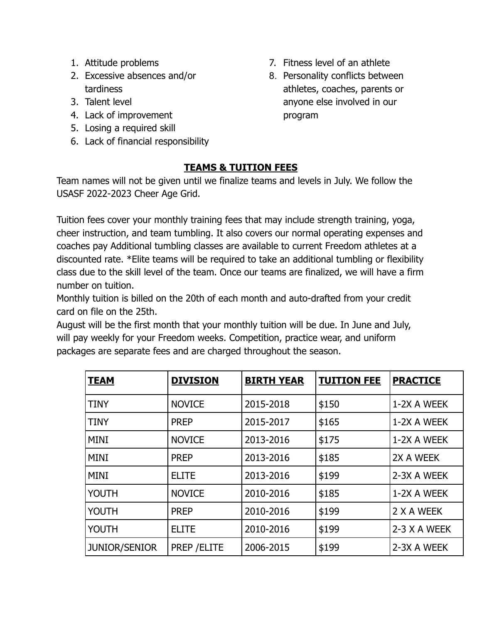- 1. Attitude problems
- 2. Excessive absences and/or tardiness
- 3. Talent level
- 4. Lack of improvement
- 5. Losing a required skill
- 6. Lack of financial responsibility
- 7. Fitness level of an athlete
- 8. Personality conflicts between athletes, coaches, parents or anyone else involved in our program

#### **TEAMS & TUITION FEES**

Team names will not be given until we finalize teams and levels in July. We follow the USASF 2022-2023 Cheer Age Grid.

Tuition fees cover your monthly training fees that may include strength training, yoga, cheer instruction, and team tumbling. It also covers our normal operating expenses and coaches pay Additional tumbling classes are available to current Freedom athletes at a discounted rate. \*Elite teams will be required to take an additional tumbling or flexibility class due to the skill level of the team. Once our teams are finalized, we will have a firm number on tuition.

Monthly tuition is billed on the 20th of each month and auto-drafted from your credit card on file on the 25th.

August will be the first month that your monthly tuition will be due. In June and July, will pay weekly for your Freedom weeks. Competition, practice wear, and uniform packages are separate fees and are charged throughout the season.

| <b>TEAM</b>   | <b>DIVISION</b> | <b>BIRTH YEAR</b> | <b>TUITION FEE</b> | <b>PRACTICE</b> |
|---------------|-----------------|-------------------|--------------------|-----------------|
| <b>TINY</b>   | <b>NOVICE</b>   | 2015-2018         | \$150              | 1-2X A WEEK     |
| <b>TINY</b>   | <b>PREP</b>     | 2015-2017         | \$165              | 1-2X A WEEK     |
| <b>MINI</b>   | <b>NOVICE</b>   | 2013-2016         | \$175              | 1-2X A WEEK     |
| <b>MINI</b>   | <b>PREP</b>     | 2013-2016         | \$185              | 2X A WEEK       |
| <b>MINI</b>   | <b>ELITE</b>    | 2013-2016         | \$199              | 2-3X A WEEK     |
| <b>YOUTH</b>  | <b>NOVICE</b>   | 2010-2016         | \$185              | 1-2X A WEEK     |
| <b>YOUTH</b>  | <b>PREP</b>     | 2010-2016         | \$199              | 2 X A WEEK      |
| <b>YOUTH</b>  | <b>ELITE</b>    | 2010-2016         | \$199              | 2-3 X A WEEK    |
| JUNIOR/SENIOR | PREP / ELITE    | 2006-2015         | \$199              | 2-3X A WEEK     |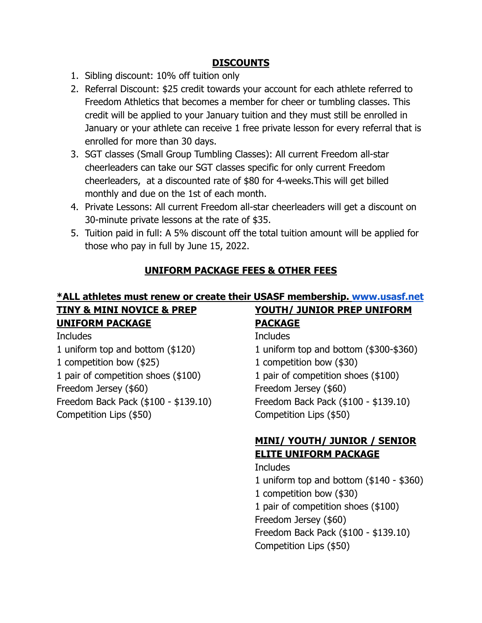#### **DISCOUNTS**

- 1. Sibling discount: 10% off tuition only
- 2. Referral Discount: \$25 credit towards your account for each athlete referred to Freedom Athletics that becomes a member for cheer or tumbling classes. This credit will be applied to your January tuition and they must still be enrolled in January or your athlete can receive 1 free private lesson for every referral that is enrolled for more than 30 days.
- 3. SGT classes (Small Group Tumbling Classes): All current Freedom all-star cheerleaders can take our SGT classes specific for only current Freedom cheerleaders, at a discounted rate of \$80 for 4-weeks.This will get billed monthly and due on the 1st of each month.
- 4. Private Lessons: All current Freedom all-star cheerleaders will get a discount on 30-minute private lessons at the rate of \$35.
- 5. Tuition paid in full: A 5% discount off the total tuition amount will be applied for those who pay in full by June 15, 2022.

#### **UNIFORM PACKAGE FEES & OTHER FEES**

#### **\*ALL athletes must renew or create their USASF membership. [www.usasf.net](http://www.usasf.net) TINY & MINI NOVICE & PREP YOUTH/ JUNIOR PREP UNIFORM**

## **UNIFORM PACKAGE**

**Includes** 

1 uniform top and bottom (\$120) 1 competition bow (\$25) 1 pair of competition shoes (\$100) Freedom Jersey (\$60) Freedom Back Pack (\$100 - \$139.10) Competition Lips (\$50)

## **PACKAGE** Includes 1 uniform top and bottom (\$300-\$360) 1 competition bow (\$30) 1 pair of competition shoes (\$100) Freedom Jersey (\$60)

Freedom Back Pack (\$100 - \$139.10) Competition Lips (\$50)

## **MINI/ YOUTH/ JUNIOR / SENIOR ELITE UNIFORM PACKAGE**

#### Includes 1 uniform top and bottom (\$140 - \$360) 1 competition bow (\$30) 1 pair of competition shoes (\$100) Freedom Jersey (\$60) Freedom Back Pack (\$100 - \$139.10) Competition Lips (\$50)